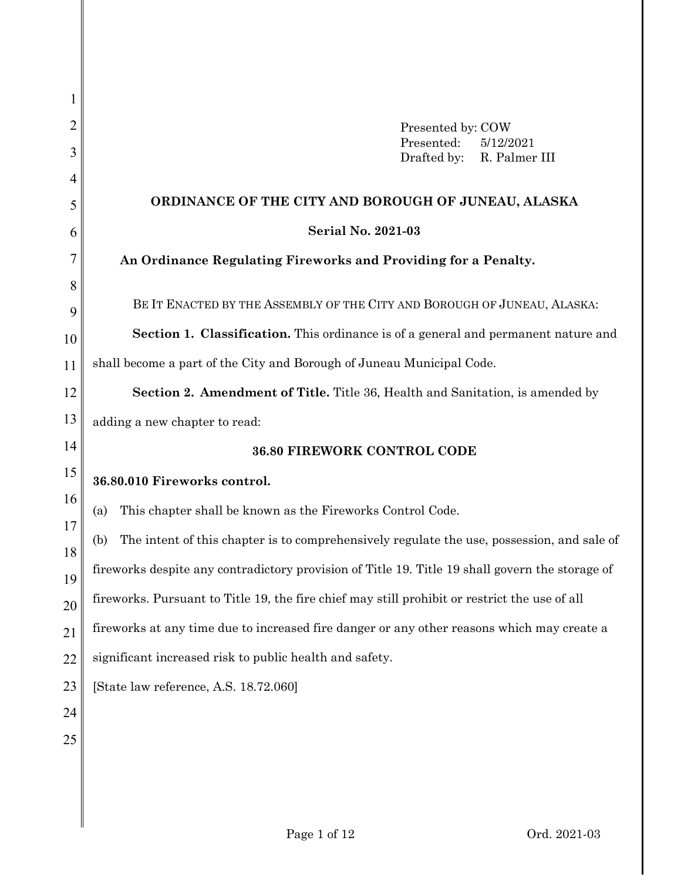| 1        |                                                                                                   |  |  |  |  |
|----------|---------------------------------------------------------------------------------------------------|--|--|--|--|
| 2        | Presented by: COW                                                                                 |  |  |  |  |
| 3        | Presented:<br>5/12/2021<br>Drafted by:<br>R. Palmer III                                           |  |  |  |  |
| 4        |                                                                                                   |  |  |  |  |
| 5        | ORDINANCE OF THE CITY AND BOROUGH OF JUNEAU, ALASKA                                               |  |  |  |  |
| 6        | <b>Serial No. 2021-03</b>                                                                         |  |  |  |  |
| 7        | An Ordinance Regulating Fireworks and Providing for a Penalty.                                    |  |  |  |  |
| 8<br>9   | BE IT ENACTED BY THE ASSEMBLY OF THE CITY AND BOROUGH OF JUNEAU, ALASKA:                          |  |  |  |  |
| 10       | Section 1. Classification. This ordinance is of a general and permanent nature and                |  |  |  |  |
| 11       | shall become a part of the City and Borough of Juneau Municipal Code.                             |  |  |  |  |
| 12       | <b>Section 2. Amendment of Title.</b> Title 36, Health and Sanitation, is amended by              |  |  |  |  |
| 13       | adding a new chapter to read:                                                                     |  |  |  |  |
| 14       | 36.80 FIREWORK CONTROL CODE                                                                       |  |  |  |  |
| 15       | 36.80.010 Fireworks control.                                                                      |  |  |  |  |
| 16       | This chapter shall be known as the Fireworks Control Code.<br>(a)                                 |  |  |  |  |
| 17       | The intent of this chapter is to comprehensively regulate the use, possession, and sale of<br>(b) |  |  |  |  |
| 18<br>19 | fireworks despite any contradictory provision of Title 19. Title 19 shall govern the storage of   |  |  |  |  |
| 20       | fireworks. Pursuant to Title 19, the fire chief may still prohibit or restrict the use of all     |  |  |  |  |
| 21       | fireworks at any time due to increased fire danger or any other reasons which may create a        |  |  |  |  |
| 22       | significant increased risk to public health and safety.                                           |  |  |  |  |
| 23       | [State law reference, A.S. 18.72.060]                                                             |  |  |  |  |
| 24       |                                                                                                   |  |  |  |  |
| 25       |                                                                                                   |  |  |  |  |
|          |                                                                                                   |  |  |  |  |
|          |                                                                                                   |  |  |  |  |
|          |                                                                                                   |  |  |  |  |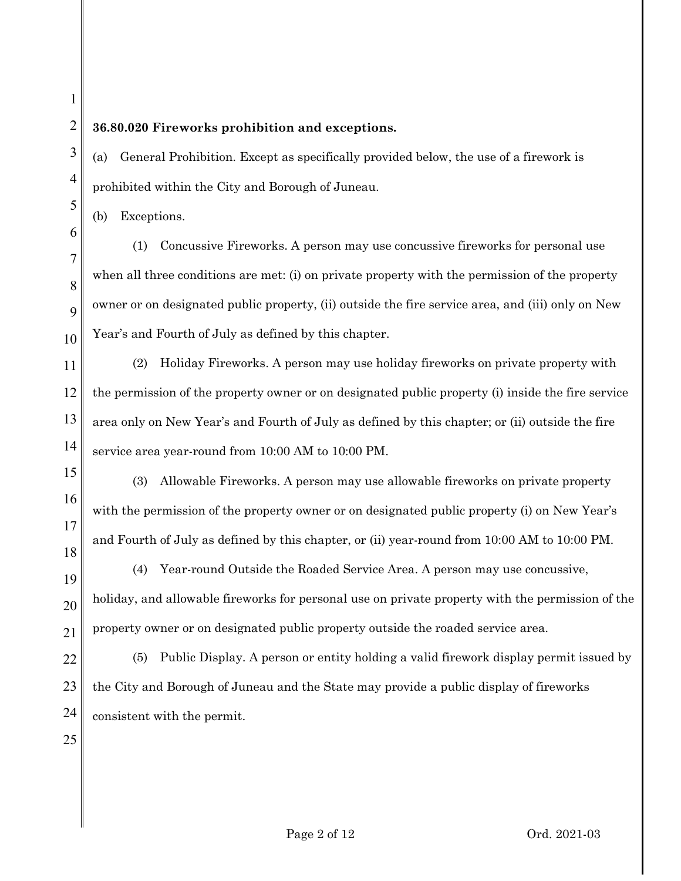## **36.80.020 Fireworks prohibition and exceptions.**

(a) General Prohibition. Except as specifically provided below, the use of a firework is prohibited within the City and Borough of Juneau.

(b) Exceptions.

(1) Concussive Fireworks. A person may use concussive fireworks for personal use when all three conditions are met: (i) on private property with the permission of the property owner or on designated public property, (ii) outside the fire service area, and (iii) only on New Year's and Fourth of July as defined by this chapter.

13 14 (2) Holiday Fireworks. A person may use holiday fireworks on private property with the permission of the property owner or on designated public property (i) inside the fire service area only on New Year's and Fourth of July as defined by this chapter; or (ii) outside the fire service area year-round from 10:00 AM to 10:00 PM.

(3) Allowable Fireworks. A person may use allowable fireworks on private property with the permission of the property owner or on designated public property (i) on New Year's and Fourth of July as defined by this chapter, or (ii) year-round from 10:00 AM to 10:00 PM.

(4) Year-round Outside the Roaded Service Area. A person may use concussive, holiday, and allowable fireworks for personal use on private property with the permission of the property owner or on designated public property outside the roaded service area.

22 23 24 (5) Public Display. A person or entity holding a valid firework display permit issued by the City and Borough of Juneau and the State may provide a public display of fireworks consistent with the permit.

15

16

17

18

19

20

21

25

1

2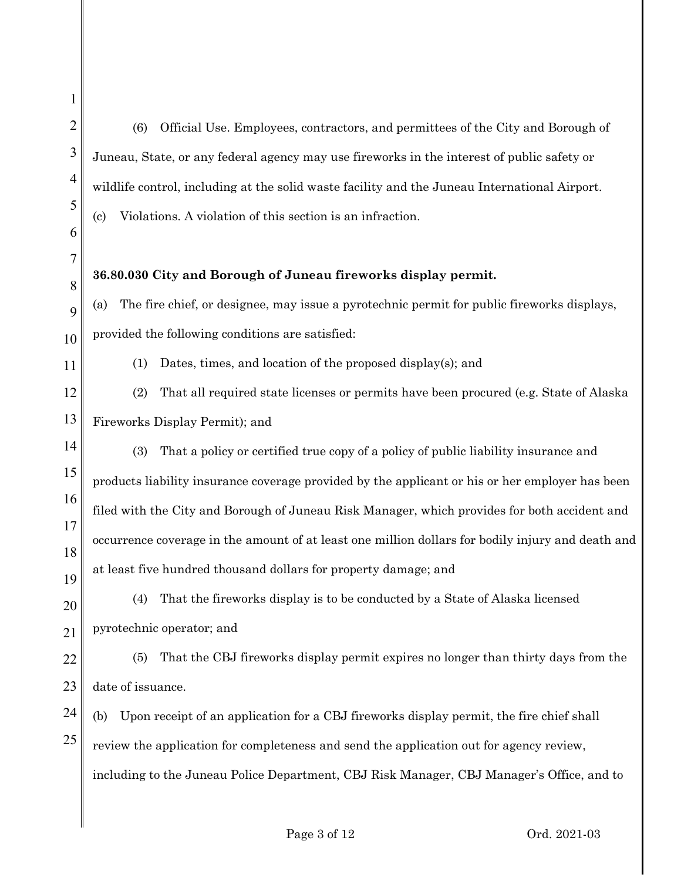1 2 3 4 5 6 7 8 9 10 11 12 13 14 15 16 17 18 19 20 21 22 23 24 25 (6) Official Use. Employees, contractors, and permittees of the City and Borough of Juneau, State, or any federal agency may use fireworks in the interest of public safety or wildlife control, including at the solid waste facility and the Juneau International Airport. (c) Violations. A violation of this section is an infraction. **36.80.030 City and Borough of Juneau fireworks display permit.** (a) The fire chief, or designee, may issue a pyrotechnic permit for public fireworks displays, provided the following conditions are satisfied: (1) Dates, times, and location of the proposed display(s); and (2) That all required state licenses or permits have been procured (e.g. State of Alaska Fireworks Display Permit); and (3) That a policy or certified true copy of a policy of public liability insurance and products liability insurance coverage provided by the applicant or his or her employer has been filed with the City and Borough of Juneau Risk Manager, which provides for both accident and occurrence coverage in the amount of at least one million dollars for bodily injury and death and at least five hundred thousand dollars for property damage; and (4) That the fireworks display is to be conducted by a State of Alaska licensed pyrotechnic operator; and (5) That the CBJ fireworks display permit expires no longer than thirty days from the date of issuance. (b) Upon receipt of an application for a CBJ fireworks display permit, the fire chief shall review the application for completeness and send the application out for agency review, including to the Juneau Police Department, CBJ Risk Manager, CBJ Manager's Office, and to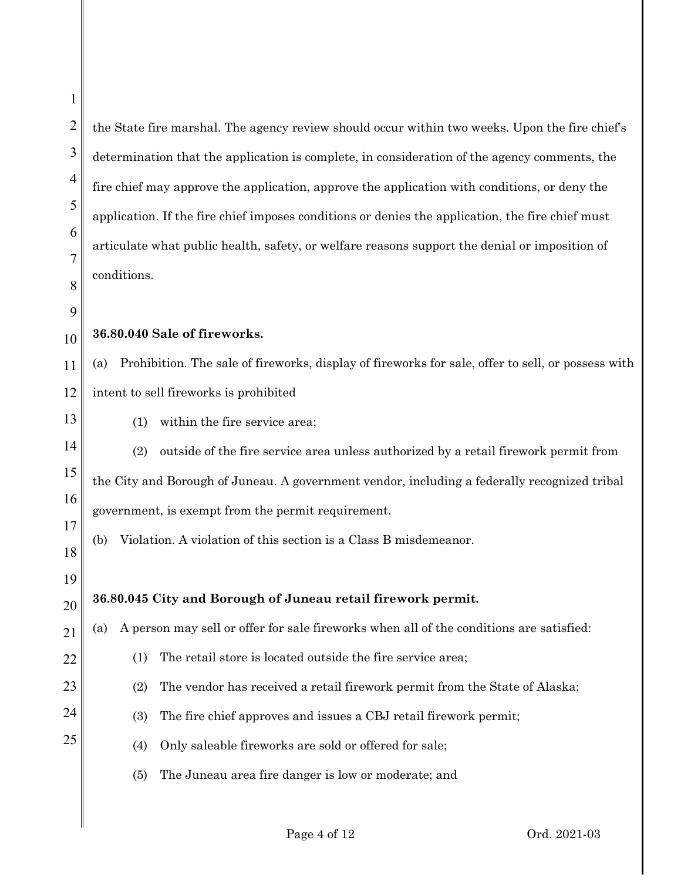1

the State fire marshal. The agency review should occur within two weeks. Upon the fire chief's determination that the application is complete, in consideration of the agency comments, the fire chief may approve the application, approve the application with conditions, or deny the application. If the fire chief imposes conditions or denies the application, the fire chief must articulate what public health, safety, or welfare reasons support the denial or imposition of conditions.

**36.80.040 Sale of fireworks.**

(a) Prohibition. The sale of fireworks, display of fireworks for sale, offer to sell, or possess with intent to sell fireworks is prohibited

(1) within the fire service area;

(2) outside of the fire service area unless authorized by a retail firework permit from the City and Borough of Juneau. A government vendor, including a federally recognized tribal government, is exempt from the permit requirement.

- (b) Violation. A violation of this section is a Class B misdemeanor.
- **36.80.045 City and Borough of Juneau retail firework permit.**
- (a) A person may sell or offer for sale fireworks when all of the conditions are satisfied:
	- (1) The retail store is located outside the fire service area;
	- (2) The vendor has received a retail firework permit from the State of Alaska;
		- (3) The fire chief approves and issues a CBJ retail firework permit;
		- (4) Only saleable fireworks are sold or offered for sale;
		- (5) The Juneau area fire danger is low or moderate; and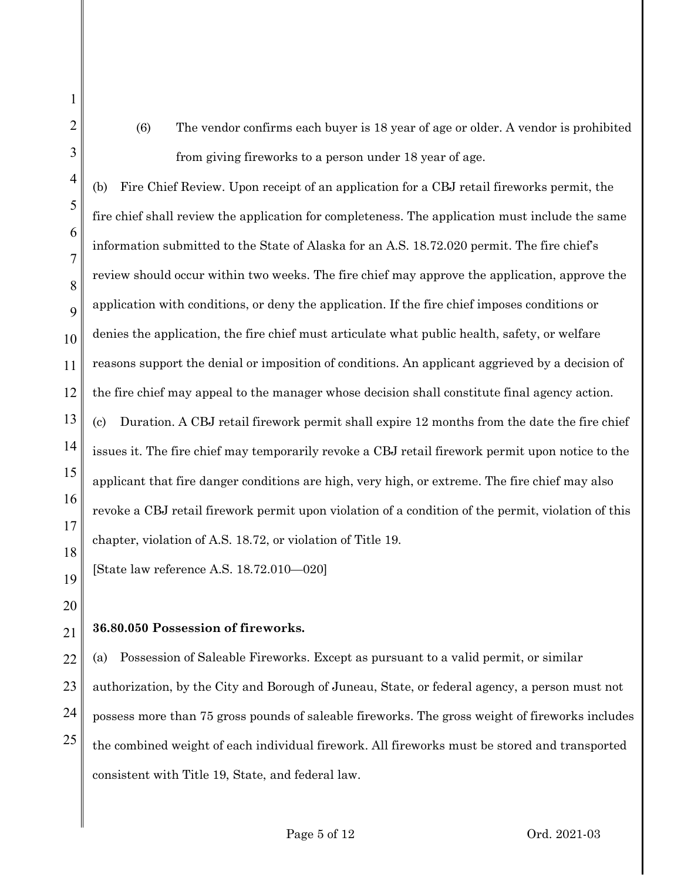(6) The vendor confirms each buyer is 18 year of age or older. A vendor is prohibited from giving fireworks to a person under 18 year of age.

4 5 6 7 8 9 10 11 12 13 14 15 16 17 18 (b) Fire Chief Review. Upon receipt of an application for a CBJ retail fireworks permit, the fire chief shall review the application for completeness. The application must include the same information submitted to the State of Alaska for an A.S. 18.72.020 permit. The fire chief's review should occur within two weeks. The fire chief may approve the application, approve the application with conditions, or deny the application. If the fire chief imposes conditions or denies the application, the fire chief must articulate what public health, safety, or welfare reasons support the denial or imposition of conditions. An applicant aggrieved by a decision of the fire chief may appeal to the manager whose decision shall constitute final agency action. (c) Duration. A CBJ retail firework permit shall expire 12 months from the date the fire chief issues it. The fire chief may temporarily revoke a CBJ retail firework permit upon notice to the applicant that fire danger conditions are high, very high, or extreme. The fire chief may also revoke a CBJ retail firework permit upon violation of a condition of the permit, violation of this chapter, violation of A.S. 18.72, or violation of Title 19.

[State law reference A.S. 18.72.010—020]

19 20

1

2

3

## 21 **36.80.050 Possession of fireworks.**

22 23 24 25 (a) Possession of Saleable Fireworks. Except as pursuant to a valid permit, or similar authorization, by the City and Borough of Juneau, State, or federal agency, a person must not possess more than 75 gross pounds of saleable fireworks. The gross weight of fireworks includes the combined weight of each individual firework. All fireworks must be stored and transported consistent with Title 19, State, and federal law.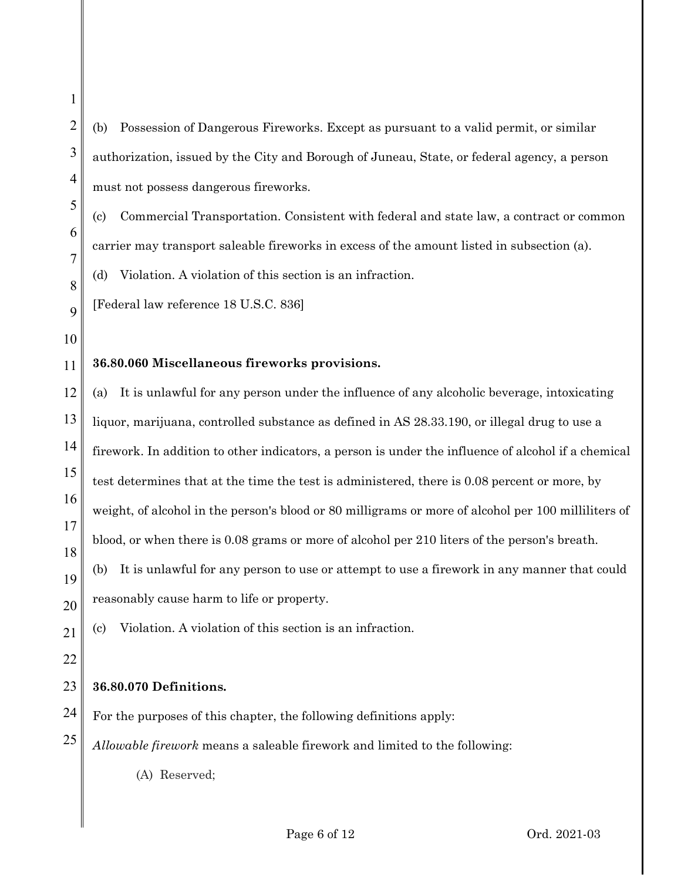- (b) Possession of Dangerous Fireworks. Except as pursuant to a valid permit, or similar authorization, issued by the City and Borough of Juneau, State, or federal agency, a person must not possess dangerous fireworks.
- (c) Commercial Transportation. Consistent with federal and state law, a contract or common carrier may transport saleable fireworks in excess of the amount listed in subsection (a).

(d) Violation. A violation of this section is an infraction.

[Federal law reference 18 U.S.C. 836]

10

1

2

3

4

5

6

7

8

9

## 11 **36.80.060 Miscellaneous fireworks provisions.**

12 13 14 15 16 17 18 19 (a) It is unlawful for any person under the influence of any alcoholic beverage, intoxicating liquor, marijuana, controlled substance as defined in AS 28.33.190, or illegal drug to use a firework. In addition to other indicators, a person is under the influence of alcohol if a chemical test determines that at the time the test is administered, there is 0.08 percent or more, by weight, of alcohol in the person's blood or 80 milligrams or more of alcohol per 100 milliliters of blood, or when there is 0.08 grams or more of alcohol per 210 liters of the person's breath. (b) It is unlawful for any person to use or attempt to use a firework in any manner that could reasonably cause harm to life or property.

21 (c) Violation. A violation of this section is an infraction.

22

20

## 23 **36.80.070 Definitions.**

24 For the purposes of this chapter, the following definitions apply:

25 *Allowable firework* means a saleable firework and limited to the following:

(A) Reserved;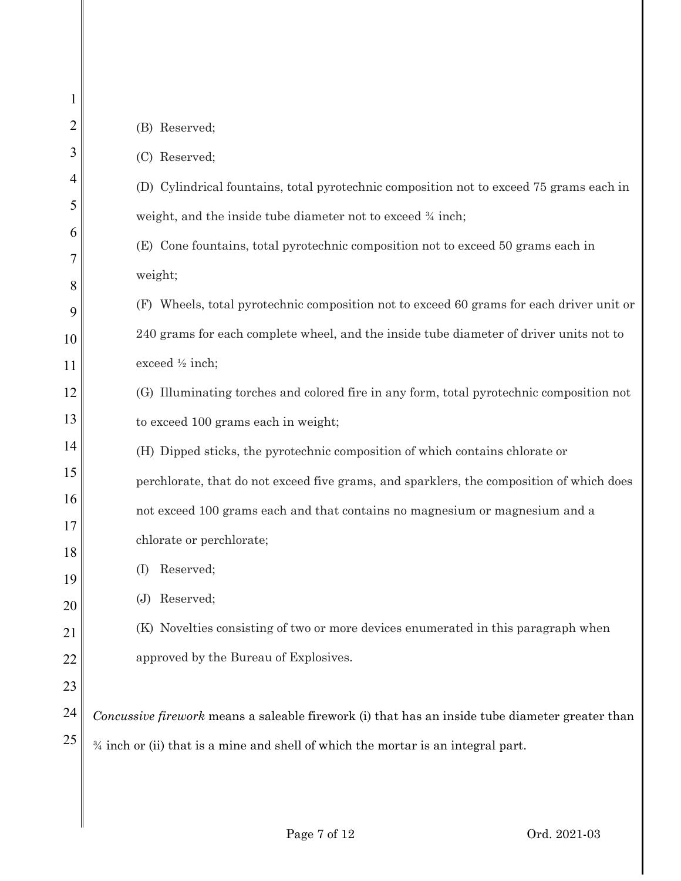| 1        |                                                                                                 |
|----------|-------------------------------------------------------------------------------------------------|
| 2        | (B) Reserved;                                                                                   |
| 3        | (C) Reserved;                                                                                   |
| 4        | (D) Cylindrical fountains, total pyrotechnic composition not to exceed 75 grams each in         |
| 5        | weight, and the inside tube diameter not to exceed $\frac{3}{4}$ inch;                          |
| 6        | (E) Cone fountains, total pyrotechnic composition not to exceed 50 grams each in                |
| 7<br>8   | weight;                                                                                         |
| 9        | (F) Wheels, total pyrotechnic composition not to exceed 60 grams for each driver unit or        |
| 10       | 240 grams for each complete wheel, and the inside tube diameter of driver units not to          |
| 11       | exceed 1/2 inch;                                                                                |
| 12       | (G) Illuminating torches and colored fire in any form, total pyrotechnic composition not        |
| 13       | to exceed 100 grams each in weight;                                                             |
| 14       | (H) Dipped sticks, the pyrotechnic composition of which contains chlorate or                    |
| 15       | perchlorate, that do not exceed five grams, and sparklers, the composition of which does        |
| 16       | not exceed 100 grams each and that contains no magnesium or magnesium and a                     |
| 17       | chlorate or perchlorate;                                                                        |
| 18       | Reserved;<br>(I)                                                                                |
| 19       | Reserved;<br>(J)                                                                                |
| 20<br>21 | (K) Novelties consisting of two or more devices enumerated in this paragraph when               |
| 22       | approved by the Bureau of Explosives.                                                           |
| 23       |                                                                                                 |
| 24       | Concussive firework means a saleable firework (i) that has an inside tube diameter greater than |
| 25       | $\frac{3}{4}$ inch or (ii) that is a mine and shell of which the mortar is an integral part.    |
|          |                                                                                                 |
|          |                                                                                                 |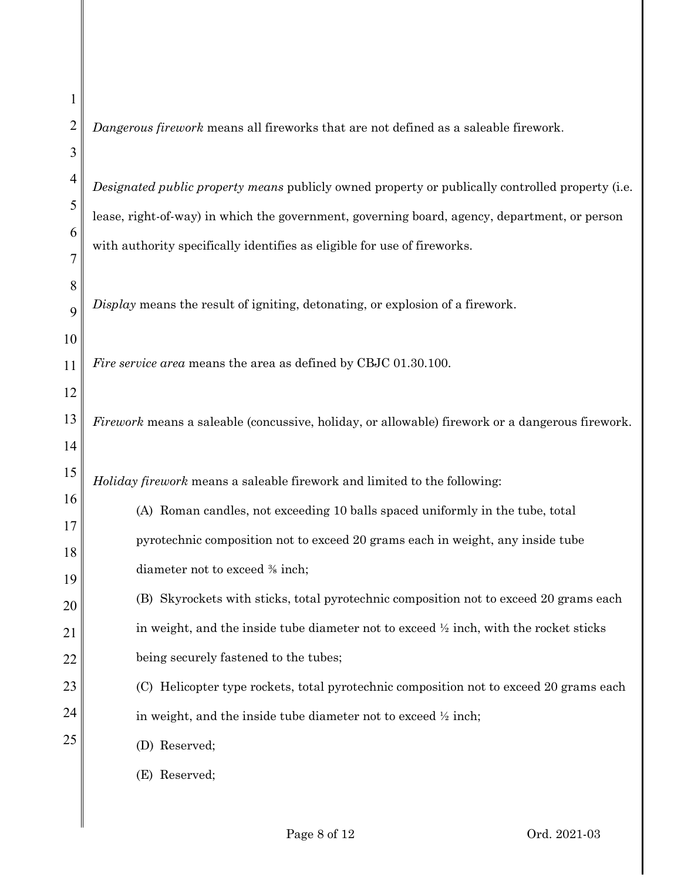| 1        |                                                                                                  |  |  |  |
|----------|--------------------------------------------------------------------------------------------------|--|--|--|
| 2        | Dangerous firework means all fireworks that are not defined as a saleable firework.              |  |  |  |
| 3        |                                                                                                  |  |  |  |
| 4        | Designated public property means publicly owned property or publically controlled property (i.e. |  |  |  |
| 5<br>6   | lease, right-of-way) in which the government, governing board, agency, department, or person     |  |  |  |
| 7        | with authority specifically identifies as eligible for use of fireworks.                         |  |  |  |
| 8        |                                                                                                  |  |  |  |
| 9        | Display means the result of igniting, detonating, or explosion of a firework.                    |  |  |  |
| 10       |                                                                                                  |  |  |  |
| 11       | <i>Fire service area</i> means the area as defined by CBJC 01.30.100.                            |  |  |  |
| 12       |                                                                                                  |  |  |  |
| 13       | Firework means a saleable (concussive, holiday, or allowable) firework or a dangerous firework.  |  |  |  |
| 14       |                                                                                                  |  |  |  |
|          |                                                                                                  |  |  |  |
| 15       | Holiday firework means a saleable firework and limited to the following:                         |  |  |  |
| 16       | (A) Roman candles, not exceeding 10 balls spaced uniformly in the tube, total                    |  |  |  |
| 17       | pyrotechnic composition not to exceed 20 grams each in weight, any inside tube                   |  |  |  |
| 18<br>19 | diameter not to exceed % inch;                                                                   |  |  |  |
| 20       | (B) Skyrockets with sticks, total pyrotechnic composition not to exceed 20 grams each            |  |  |  |
| 21       | in weight, and the inside tube diameter not to exceed $\frac{1}{2}$ inch, with the rocket sticks |  |  |  |
| 22       | being securely fastened to the tubes;                                                            |  |  |  |
| 23       | (C) Helicopter type rockets, total pyrotechnic composition not to exceed 20 grams each           |  |  |  |
| 24       | in weight, and the inside tube diameter not to exceed $\frac{1}{2}$ inch;                        |  |  |  |
| 25       | (D) Reserved;                                                                                    |  |  |  |
|          | (E) Reserved;                                                                                    |  |  |  |
|          |                                                                                                  |  |  |  |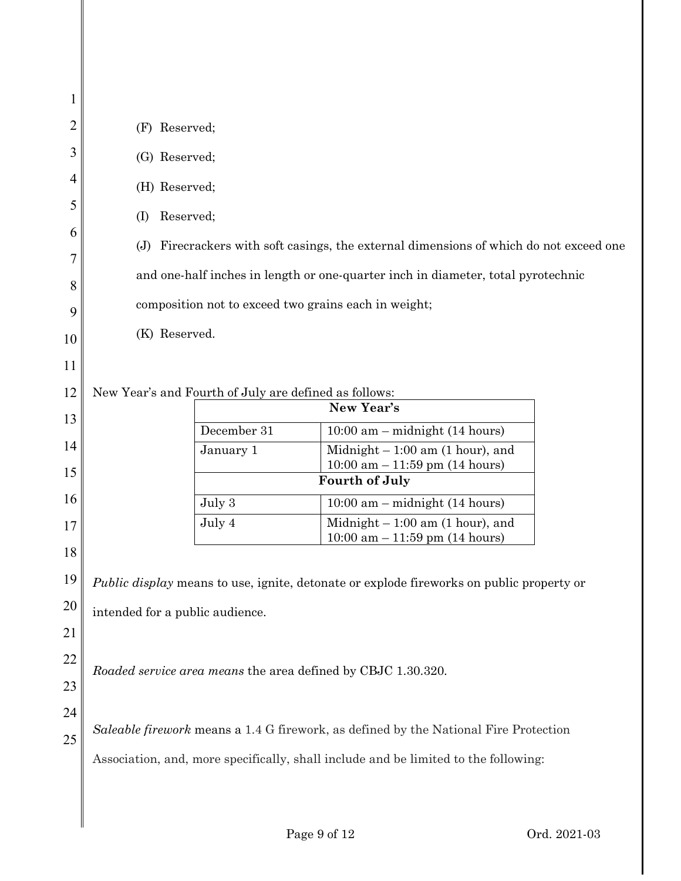| 1  |                                                                                                                                          |                                                       |                                                                                          |  |  |
|----|------------------------------------------------------------------------------------------------------------------------------------------|-------------------------------------------------------|------------------------------------------------------------------------------------------|--|--|
| 2  | (F) Reserved;                                                                                                                            |                                                       |                                                                                          |  |  |
| 3  | (G) Reserved;                                                                                                                            |                                                       |                                                                                          |  |  |
| 4  | (H) Reserved;                                                                                                                            |                                                       |                                                                                          |  |  |
| 5  | Reserved;<br>(I)                                                                                                                         |                                                       |                                                                                          |  |  |
| 6  | Firecrackers with soft casings, the external dimensions of which do not exceed one<br>(J)                                                |                                                       |                                                                                          |  |  |
| 7  |                                                                                                                                          |                                                       |                                                                                          |  |  |
| 8  | and one-half inches in length or one-quarter inch in diameter, total pyrotechnic<br>composition not to exceed two grains each in weight; |                                                       |                                                                                          |  |  |
| 9  |                                                                                                                                          |                                                       |                                                                                          |  |  |
| 10 | (K) Reserved.                                                                                                                            |                                                       |                                                                                          |  |  |
| 11 |                                                                                                                                          |                                                       |                                                                                          |  |  |
| 12 |                                                                                                                                          | New Year's and Fourth of July are defined as follows: |                                                                                          |  |  |
| 13 |                                                                                                                                          |                                                       | New Year's                                                                               |  |  |
| 14 |                                                                                                                                          | December 31                                           | $10:00$ am – midnight (14 hours)                                                         |  |  |
|    |                                                                                                                                          | January 1                                             | Midnight $-1:00$ am (1 hour), and<br>$10:00$ am $-11:59$ pm (14 hours)                   |  |  |
| 15 |                                                                                                                                          |                                                       | <b>Fourth of July</b>                                                                    |  |  |
| 16 |                                                                                                                                          | July 3                                                | $10:00$ am – midnight (14 hours)                                                         |  |  |
| 17 |                                                                                                                                          | July 4                                                | Midnight $-1:00$ am (1 hour), and<br>$10:00$ am $-11:59$ pm (14 hours)                   |  |  |
| 18 |                                                                                                                                          |                                                       |                                                                                          |  |  |
| 19 |                                                                                                                                          |                                                       | Public display means to use, ignite, detonate or explode fireworks on public property or |  |  |
| 20 | intended for a public audience.                                                                                                          |                                                       |                                                                                          |  |  |
| 21 |                                                                                                                                          |                                                       |                                                                                          |  |  |
| 22 |                                                                                                                                          |                                                       | Roaded service area means the area defined by CBJC 1.30.320.                             |  |  |
| 23 |                                                                                                                                          |                                                       |                                                                                          |  |  |
| 24 |                                                                                                                                          |                                                       |                                                                                          |  |  |
| 25 |                                                                                                                                          |                                                       | Saleable firework means a 1.4 G firework, as defined by the National Fire Protection     |  |  |
|    | Association, and, more specifically, shall include and be limited to the following:                                                      |                                                       |                                                                                          |  |  |
|    |                                                                                                                                          |                                                       |                                                                                          |  |  |
|    |                                                                                                                                          |                                                       |                                                                                          |  |  |
|    |                                                                                                                                          |                                                       |                                                                                          |  |  |

Page 9 of 12 Ord. 2021-03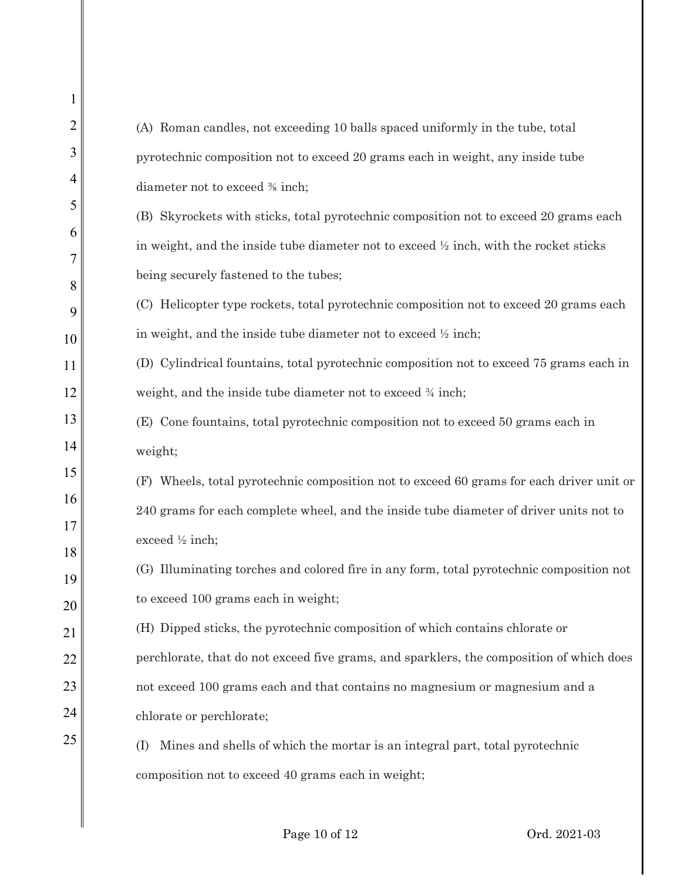1 2 3 4 5 6 7 8 9 10 11 12 13 14 15 16 17 18 19 20 21 22 23 24 25 (A) Roman candles, not exceeding 10 balls spaced uniformly in the tube, total pyrotechnic composition not to exceed 20 grams each in weight, any inside tube diameter not to exceed ⅜ inch; (B) Skyrockets with sticks, total pyrotechnic composition not to exceed 20 grams each in weight, and the inside tube diameter not to exceed  $\frac{1}{2}$  inch, with the rocket sticks being securely fastened to the tubes; (C) Helicopter type rockets, total pyrotechnic composition not to exceed 20 grams each in weight, and the inside tube diameter not to exceed ½ inch; (D) Cylindrical fountains, total pyrotechnic composition not to exceed 75 grams each in weight, and the inside tube diameter not to exceed  $\frac{3}{4}$  inch; (E) Cone fountains, total pyrotechnic composition not to exceed 50 grams each in weight; (F) Wheels, total pyrotechnic composition not to exceed 60 grams for each driver unit or 240 grams for each complete wheel, and the inside tube diameter of driver units not to exceed ½ inch; (G) Illuminating torches and colored fire in any form, total pyrotechnic composition not to exceed 100 grams each in weight; (H) Dipped sticks, the pyrotechnic composition of which contains chlorate or perchlorate, that do not exceed five grams, and sparklers, the composition of which does not exceed 100 grams each and that contains no magnesium or magnesium and a chlorate or perchlorate; (I) Mines and shells of which the mortar is an integral part, total pyrotechnic composition not to exceed 40 grams each in weight;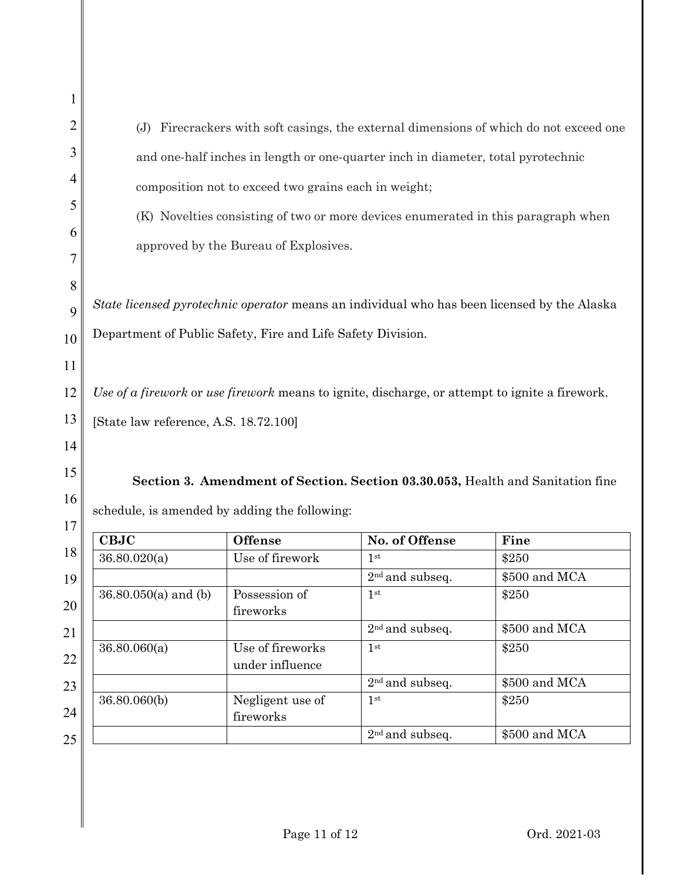| Firecrackers with soft casings, the external dimensions of which do not exceed one<br>(J)   |                                       |                                                      |                                                                                                |                                                                                |  |
|---------------------------------------------------------------------------------------------|---------------------------------------|------------------------------------------------------|------------------------------------------------------------------------------------------------|--------------------------------------------------------------------------------|--|
| and one-half inches in length or one-quarter inch in diameter, total pyrotechnic            |                                       |                                                      |                                                                                                |                                                                                |  |
|                                                                                             |                                       | composition not to exceed two grains each in weight; |                                                                                                |                                                                                |  |
|                                                                                             |                                       |                                                      |                                                                                                |                                                                                |  |
| (K) Novelties consisting of two or more devices enumerated in this paragraph when           |                                       |                                                      |                                                                                                |                                                                                |  |
| approved by the Bureau of Explosives.                                                       |                                       |                                                      |                                                                                                |                                                                                |  |
|                                                                                             |                                       |                                                      |                                                                                                |                                                                                |  |
| State licensed pyrotechnic operator means an individual who has been licensed by the Alaska |                                       |                                                      |                                                                                                |                                                                                |  |
| Department of Public Safety, Fire and Life Safety Division.                                 |                                       |                                                      |                                                                                                |                                                                                |  |
|                                                                                             |                                       |                                                      |                                                                                                |                                                                                |  |
|                                                                                             |                                       |                                                      | Use of a firework or use firework means to ignite, discharge, or attempt to ignite a firework. |                                                                                |  |
|                                                                                             | [State law reference, A.S. 18.72.100] |                                                      |                                                                                                |                                                                                |  |
|                                                                                             |                                       |                                                      |                                                                                                |                                                                                |  |
|                                                                                             |                                       |                                                      |                                                                                                |                                                                                |  |
|                                                                                             |                                       |                                                      |                                                                                                |                                                                                |  |
|                                                                                             |                                       |                                                      |                                                                                                |                                                                                |  |
|                                                                                             |                                       | schedule, is amended by adding the following:        |                                                                                                | Section 3. Amendment of Section. Section 03.30.053, Health and Sanitation fine |  |
|                                                                                             | <b>CBJC</b>                           | <b>Offense</b>                                       | No. of Offense                                                                                 | Fine                                                                           |  |
|                                                                                             | 36.80.020(a)                          | Use of firework                                      | 1 <sup>st</sup>                                                                                | \$250                                                                          |  |
|                                                                                             |                                       |                                                      | 2 <sup>nd</sup> and subseq.                                                                    | \$500 and MCA                                                                  |  |
|                                                                                             | 36.80.050(a) and (b)                  | Possession of                                        | 1 <sup>st</sup>                                                                                | \$250                                                                          |  |
|                                                                                             |                                       | fireworks                                            | 2 <sup>nd</sup> and subseq.                                                                    | \$500 and MCA                                                                  |  |
|                                                                                             | 36.80.060(a)                          | Use of fireworks<br>under influence                  | 1 <sup>st</sup>                                                                                | \$250                                                                          |  |
|                                                                                             |                                       |                                                      |                                                                                                | \$500 and MCA                                                                  |  |
|                                                                                             | 36.80.060(b)                          | Negligent use of<br>fireworks                        | 2 <sup>nd</sup> and subseq.<br>1 <sup>st</sup>                                                 | \$250                                                                          |  |